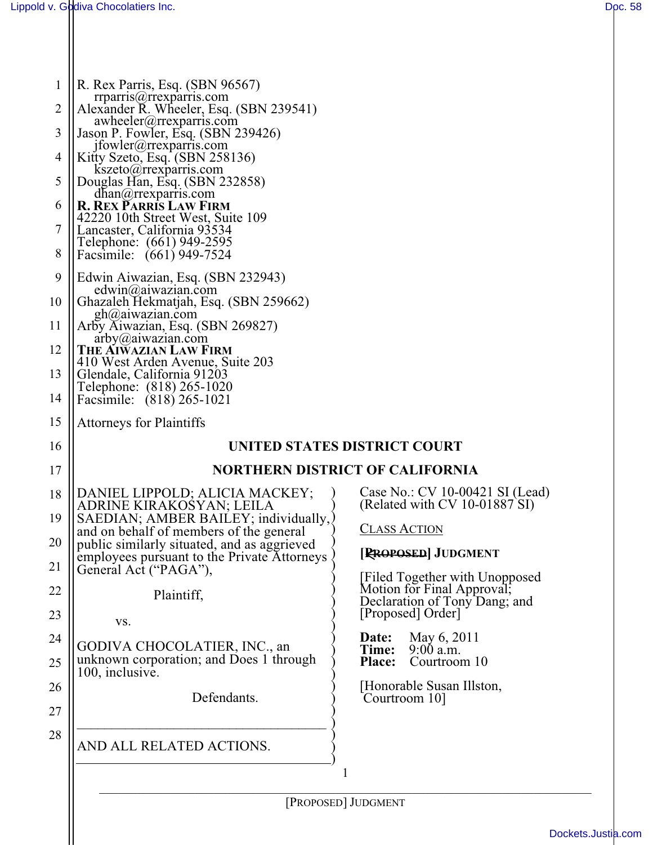| R. Rex Parris, Esq. (SBN 96567)                                                                              |                                                             |
|--------------------------------------------------------------------------------------------------------------|-------------------------------------------------------------|
| $rprarray(a)$ grexparris.com<br>Alexander R. Wheeler, Esq. (SBN 239541)<br>$awheeler(\alpha)$ rrexparris.com |                                                             |
| Jason P. Fowler, Esq. (SBN 239426)<br>$ifowler(a)$ rrexparris.com                                            |                                                             |
| Kitty Szeto, Esq. (SBN 258136)                                                                               |                                                             |
| kszeto@rrexparris.com<br>Douglas Han, Esq. (SBN 232858)                                                      |                                                             |
| $dhan(\omega)$ rrexparris.com<br><b>R. REX PARRIS LAW FIRM</b>                                               |                                                             |
| 42220 10th Street West, Suite 109<br>Lancaster, California 93534                                             |                                                             |
| Telephone: (661) 949-2595                                                                                    |                                                             |
| Facsimile: (661) 949-7524                                                                                    |                                                             |
| Edwin Aiwazian, Esq. (SBN 232943)<br>edwin(a) a iwa zian.com                                                 |                                                             |
| Ghazaleh Hekmatjah, Esq. (SBN 259662)<br>gh@aiwazian.com                                                     |                                                             |
| Arby Aiwazian, Esq. (SBN 269827)<br>$arby(a)$ aiwazian.com                                                   |                                                             |
| THE AIWAZIAN LAW FIRM                                                                                        |                                                             |
| 410 West Arden Avenue, Suite 203<br>Glendale, California 91203                                               |                                                             |
| Telephone: (818) 265-1020<br>Facsimile: (818) 265-1021                                                       |                                                             |
| <b>Attorneys for Plaintiffs</b>                                                                              |                                                             |
| UNITED STATES DISTRICT COURT                                                                                 |                                                             |
| <b>NORTHERN DISTRICT OF CALIFORNIA</b>                                                                       |                                                             |
| DANIEL LIPPOLD; ALICIA MACKEY;                                                                               | Case No.: CV 10-00421 SI (Lead)                             |
| ADRINE KIRAKOSYAN; LEILA<br>SAEDIAN; AMBER BAILEY; individually,                                             | (Related with CV $10-01887$ SI)                             |
| and on behalf of members of the general<br>public similarly situated, and as aggrieved                       | <b>CLASS ACTION</b>                                         |
| employees pursuant to the Private Attorneys                                                                  | [RROPOSED] JUDGMENT                                         |
| General Act ("PAGA"),                                                                                        | <b>Filed Together with Unopposed</b>                        |
| Plaintiff,                                                                                                   | Motion for Final Approval;<br>Declaration of Tony Dang; and |
|                                                                                                              |                                                             |
| VS.                                                                                                          | [Proposed] Order]                                           |
| GODIVA CHOCOLATIER, INC., an                                                                                 | May 6, 2011<br>Date:                                        |
| unknown corporation; and Does 1 through                                                                      | $9:00$ a.m.<br>Time:<br>Courtroom 10<br><b>Place:</b>       |
| 100, inclusive.                                                                                              | [Honorable Susan Illston,                                   |
| Defendants.                                                                                                  | Courtroom 10]                                               |
| AND ALL RELATED ACTIONS.                                                                                     |                                                             |